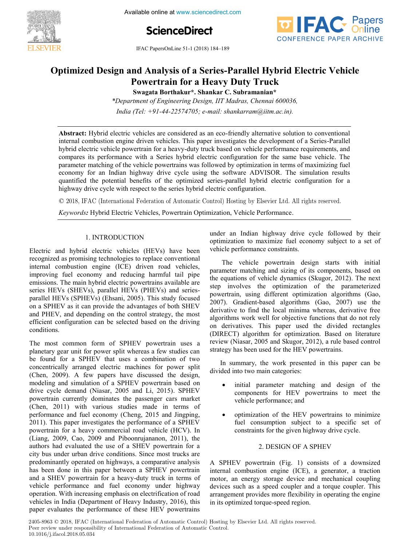

**5th International Conference on Available online at www.sciencedirect.com** 



IFAC PapersOnLine 51-1 (2018) 184–189 **Optimized Design and Analysis of Analysis of Analysis 1987** 



# **Optimized Design and Analysis of a Series-Parallel Hybrid Electric Vehicle Powertrain for a Heavy Duty Truck Optimized Design and Analysis of a Series-Parallel Hybrid Electric Vehicle Powertrain for a Heavy Duty Truck Swagata Borthakur\*. Shankar C. Subramanian\* Powertrain for a Heavy Duty Truck Optimized Design and Analysis of a Series-Parallel Hybrid Electric Vehicle**

**Swagata Borthakur\*. Shankar C. Subramanian\* Swagata Borthakur\*. Shankar C. Subramanian\***

*India (Tel: +91-44-22574705; e-mail: shankarram@iitm.ac.in). \*Department of Engineering Design, IIT Madras, Chennai 600036,* **Swagata Borthakur\*. Shankar C. Subramanian\*** *\*Department of Engineering Design, IIT Madras, Chennai 600036,*

*India (Tel: +91-44-22574705; e-mail: shankarram@iitm.ac.in).*

internal combustion engine driven vehicles. This paper investigates the development of a Series-Parallel informal chequite vehicle powerful this include driven vehicle of vehicle performance requirements, and compares its performance with a Series hybrid electric configuration for the same base vehicle. The parameter materially of the vehicle powertrains was followed by optimization in terms of maximizing fueleconomy for an Indian highway drive cycle using the software ADVISOR. The simulation results quantified the potential benefits of the optimized series-parallel hybrid electric configuration for a highway drive cycle with respect to the series hybrid electric configuration. **Abstract:** Hybrid electric vehicles are considered as an eco-friendly alternative solution to conventional hybrid electric vehicle powertrain for a heavy-duty truck based on vehicle performance requirements, and parameter matching of the vehicle powertrains was followed by optimization in terms of maximizing fuel

© 2018, IFAC (International Federation of Automatic Control) Hosting by Elsevier Ltd. All rights reserved.  $\sim$  2010; H $\sim$  (mormanonal reactation of Hatomatic control) Hobting by East

*Keywords:* Hybrid Electric Vehicles, Powertrain Optimization, Vehicle Performance. *Keywords:* Hybrid Electric Vehicles, Powertrain Optimization, Vehicle Performance. *Keywords:* Hybrid Electric Vehicles, Powertrain Optimization, Vehicle Performance.

# 1. INTRODUCTION

Electric and hybrid electric vehicles (HEVs) have been recognized as promising technologies to replace conventional internal combustion engine (ICE) driven road vehicles, improving fuel economy and reducing harmful tail pipe emissions. The main hybrid electric powertrains available are series HEVs (SHEVs), parallel HEVs (PHEVs) and seriesparallel HEVs (SPHEVs) (Ehsani, 2005). This study focused on a SPHEV as it can provide the advantages of both SHEV and PHEV, and depending on the control strategy, the most efficient configuration can be selected based on the driving efficient  $\epsilon$  conditions.  $\alpha$  conditions.

The most common form of SPHEV powertrain uses a planetary gear unit for power split whereas a few studies can be found for a SPHEV that uses a combination of two concentrically arranged electric machines for power split (Chen, 2009). A few papers have discussed the design, modeling and simulation of a SPHEV powertrain based on modeling and simulation of a SPHE procedure cars on powertrain currently dominates the passenger cars market (Chen, 2011) with various studies made in terms of performance and fuel economy (Cheng, 2015 and Jingping, 2011). This paper investigates the performance of a SPHEV powertrain for a heavy commercial road vehicle (HCV). In (Liang, 2009, Cao, 2009 and Piboonrujananon, 2011), the authors had evaluated the use of a SHEV powertrain for a city bus under urban drive conditions. Since most trucks are predominantly operated on highways, a comparative analysis has been done in this paper between a SPHEV powertrain and a SHEV powertrain for a heavy-duty truck in terms of which is seen a performance and fuel economy under highway vehicle performance and fuel economy under highway operation. With increasing emphasis on electrification of road vehicles in India (Department of Heavy Industry, 2016), this paper evaluates the performance of these HEV powertrains

**Copyright © 2018 IFAC 200**

under an Indian highway drive cycle followed by their optimization to maximize fuel economy subject to a set of vehicle performance constraints. vehicle performance constraints.

under an Indian highway drive cycle followed by their

The vehicle powertrain design starts with initial parameter matching and sizing of its components, based on the equations of vehicle dynamics (Skugor, 2012). The next step involves the optimization of the parameterized powertrain, using different optimization algorithms (Gao, 2007). Gradient-based algorithms (Gao, 2007) use the derivative to find the local minima whereas, derivative free algorithms work well for objective functions that do not rely on derivatives. This paper used the divided rectangles (DIRECT) algorithm for optimization. Based on literature review (Niasar, 2005 and Skugor, 2012), a rule based control strategy has been used for the HEV powertrains. strategy has been used for the HEV powertrains.

In summary, the work presented in this paper can be divided into two main categories: divided into two main categories:

- $\bullet$  initial parameter matching and design of the components for HEV powertrains to meet the vehicle performance; and  $\mathbf{v}$  and  $\mathbf{v}$
- optimization of the HEV powertrains to minimize fuel consumption subject to a specific set of constraints for the given highway drive cycle.  $\overline{c}$  design of  $\overline{c}$ constraints for the given highway drive cycle.

#### 2. DESIGN OF A SPHEV 2. DESIGN OF A SPHEV  $A \rightarrow \infty$  , and the set a downsized of a downsized of a downsized of a downsized of a downsized of a downsized of a downsized of a downsized of a downsized of a downsized of a downsized of a downsized of a downsized of a d

A SPHEV powertrain (Fig. 1) consists of a downsized internal combustion engine (ICE), a generator, a traction motor, an energy storage device and mechanical coupling devices such as a speed coupler and a torque coupler. This arrangement provides more flexibility in operating the engine arrangement provides more flexibility in operating the engine in its optimized torque-speed region.  $\frac{1}{1}$  its optimized region.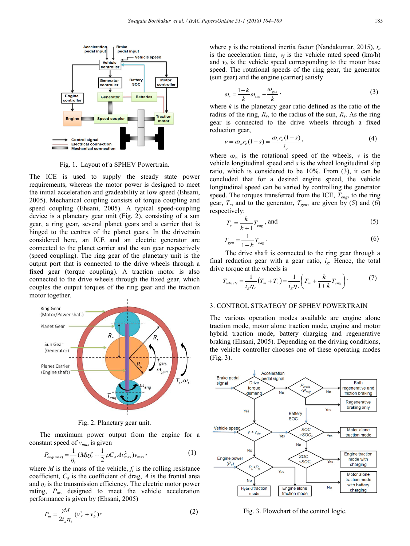

Fig. 1. Layout of a SPHEV Powertrain.

The ICE is used to supply the steady state power requirements, whereas the motor power is designed to meet the initial acceleration and gradeability at low speed (Ehsani, 2005). Mechanical coupling consists of torque coupling and speed coupling (Ehsani, 2005). A typical speed-coupling device is a planetary gear unit (Fig. 2), consisting of a sun gear, a ring gear, several planet gears and a carrier that is hinged to the centres of the planet gears. In the drivetrain considered here, an ICE and an electric generator are connected to the planet carrier and the sun gear respectively (speed coupling). The ring gear of the planetary unit is the output port that is connected to the drive wheels through a fixed gear (torque coupling). A traction motor is also connected to the drive wheels through the fixed gear, which couples the output torques of the ring gear and the traction motor together.



Fig. 2. Planetary gear unit.

 The maximum power output from the engine for a constant speed of *vmax* is given

$$
P_{\text{eng(max)}} = \frac{1}{\eta_t} (Mgf_r + \frac{1}{2} \rho C_d A v_{\text{max}}^2) v_{\text{max}} ,
$$
 (1)

where *M* is the mass of the vehicle,  $f_r$  is the rolling resistance coefficient,  $C_d$  is the coefficient of drag,  $A$  is the frontal area and  $\eta_t$  is the transmission efficiency. The electric motor power rating,  $P_m$ , designed to meet the vehicle acceleration performance is given by (Ehsani, 2005)

$$
P_m = \frac{\gamma M}{2t_a \eta_t} (\nu_f^2 + \nu_b^2), \tag{2}
$$

where *γ* is the rotational inertia factor (Nandakumar, 2015), *ta* is the acceleration time,  $v_f$  is the vehicle rated speed (km/h) and  $v<sub>b</sub>$  is the vehicle speed corresponding to the motor base speed. The rotational speeds of the ring gear, the generator (sun gear) and the engine (carrier) satisfy

$$
\omega_r = \frac{1+k}{k} \omega_{\text{eng}} - \frac{\omega_{\text{gen}}}{k},\tag{3}
$$

where *k* is the planetary gear ratio defined as the ratio of the radius of the ring,  $R_r$ , to the radius of the sun,  $R_s$ . As the ring gear is connected to the drive wheels through a fixed reduction gear,

$$
v = \omega_w r_e (1 - s) = \frac{\omega_r r_e (1 - s)}{i_g},\tag{4}
$$

where  $\omega_w$  is the rotational speed of the wheels, *v* is the vehicle longitudinal speed and *s* is the wheel longitudinal slip ratio, which is considered to be 10%. From (3), it can be concluded that for a desired engine speed, the vehicle longitudinal speed can be varied by controlling the generator speed. The torques transferred from the ICE, *Teng*, to the ring gear,  $T_r$ , and to the generator,  $T_{gen}$ , are given by (5) and (6) respectively:

$$
T_r = \frac{k}{k+1} T_{eng}, \text{ and} \tag{5}
$$

$$
T_{gen} = \frac{1}{1+k} T_{eng} \tag{6}
$$

 The drive shaft is connected to the ring gear through a final reduction gear with a gear ratio,  $i_{\rm g}$ . Hence, the total drive torque at the wheels is

$$
T_{\text{wheels}} = \frac{1}{i_g \eta_t} \left( T_m + T_r \right) = \frac{1}{i_g \eta_t} \left( T_m + \frac{k}{1+k} T_{\text{eng}} \right). \tag{7}
$$

## 3. CONTROL STRATEGY OF SPHEV POWERTRAIN

The various operation modes available are engine alone traction mode, motor alone traction mode, engine and motor hybrid traction mode, battery charging and regenerative braking (Ehsani, 2005). Depending on the driving conditions, the vehicle controller chooses one of these operating modes (Fig. 3).



Fig. 3. Flowchart of the control logic.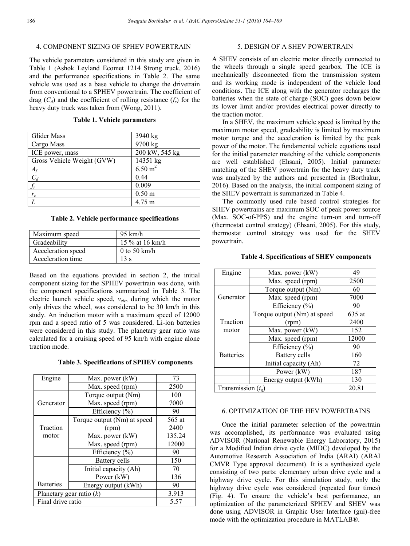## 4. COMPONENT SIZING OF SPHEV POWERTRAIN

The vehicle parameters considered in this study are given in Table 1 (Ashok Leyland Ecomet 1214 Strong truck, 2016) and the performance specifications in Table 2. The same vehicle was used as a base vehicle to change the drivetrain from conventional to a SPHEV powertrain. The coefficient of drag  $(C_d)$  and the coefficient of rolling resistance  $(f_r)$  for the heavy duty truck was taken from (Wong, 2011).

**Table 1. Vehicle parameters**

| Glider Mass                | 3940 kg            |
|----------------------------|--------------------|
| Cargo Mass                 | 9700 kg            |
| ICE power, mass            | 200 kW, 545 kg     |
| Gross Vehicle Weight (GVW) | 14351 kg           |
| $A_f$                      | $6.50 \text{ m}^2$ |
| $C_d$                      | 0.44               |
|                            | 0.009              |
| $r_e$                      | 0.50 <sub>m</sub>  |
|                            | 4.75 m             |

**Table 2. Vehicle performance specifications**

| Maximum speed      | 95 km/h         |
|--------------------|-----------------|
| Gradeability       | 15 % at 16 km/h |
| Acceleration speed | 0 to 50 km/h    |
| Acceleration time  | 13 s            |

Based on the equations provided in section 2, the initial component sizing for the SPHEV powertrain was done, with the component specifications summarized in Table 3. The electric launch vehicle speed, *vele*, during which the motor only drives the wheel, was considered to be 30 km/h in this study. An induction motor with a maximum speed of 12000 rpm and a speed ratio of 5 was considered. Li-ion batteries were considered in this study. The planetary gear ratio was calculated for a cruising speed of 95 km/h with engine alone traction mode.

**Table 3. Specifications of SPHEV components**

| Engine                     | Max. power (kW)             | 73     |
|----------------------------|-----------------------------|--------|
|                            | Max. speed (rpm)            | 2500   |
|                            | Torque output (Nm)          | 100    |
| Generator                  | Max. speed (rpm)            | 7000   |
|                            | Efficiency (%)              | 90     |
|                            | Torque output (Nm) at speed | 565 at |
| Traction                   | (rpm)                       | 2400   |
| motor                      | Max. power (kW)             | 135.24 |
|                            | Max. speed (rpm)            | 12000  |
|                            | Efficiency $(\% )$          | 90     |
|                            | Battery cells               | 150    |
|                            | Initial capacity (Ah)       | 70     |
|                            | Power (kW)                  | 136    |
| <b>Batteries</b>           | Energy output (kWh)         | 90     |
| Planetary gear ratio $(k)$ | 3.913                       |        |
| Final drive ratio          | 5.57                        |        |

## 5. DESIGN OF A SHEV POWERTRAIN

A SHEV consists of an electric motor directly connected to the wheels through a single speed gearbox. The ICE is mechanically disconnected from the transmission system and its working mode is independent of the vehicle load conditions. The ICE along with the generator recharges the batteries when the state of charge (SOC) goes down below its lower limit and/or provides electrical power directly to the traction motor.

 In a SHEV, the maximum vehicle speed is limited by the maximum motor speed, gradeability is limited by maximum motor torque and the acceleration is limited by the peak power of the motor. The fundamental vehicle equations used for the initial parameter matching of the vehicle components are well established (Ehsani, 2005). Initial parameter matching of the SHEV powertrain for the heavy duty truck was analyzed by the authors and presented in (Borthakur, 2016). Based on the analysis, the initial component sizing of the SHEV powertrain is summarized in Table 4.

 The commonly used rule based control strategies for SHEV powertrains are maximum SOC of peak power source (Max. SOC-of-PPS) and the engine turn-on and turn-off (thermostat control strategy) (Ehsani, 2005). For this study, thermostat control strategy was used for the SHEV powertrain.

| Engine                       | Max. power (kW)             | 49     |
|------------------------------|-----------------------------|--------|
|                              | Max. speed (rpm)            | 2500   |
|                              | Torque output (Nm)          | 60     |
| Generator                    | Max. speed (rpm)            | 7000   |
|                              | Efficiency (%)              | 90     |
|                              | Torque output (Nm) at speed | 635 at |
| Traction                     | (rpm)                       | 2400   |
| motor                        | Max. power (kW)             | 152    |
|                              | Max. speed (rpm)            | 12000  |
|                              | Efficiency $(\% )$          | 90     |
| <b>Batteries</b>             | Battery cells               | 160    |
|                              | Initial capacity (Ah)       | 72     |
|                              | Power (kW)                  | 187    |
| Energy output (kWh)          |                             | 130    |
| Transmission $(i_{\varrho})$ |                             | 20.81  |

**Table 4. Specifications of SHEV components**

## 6. OPTIMIZATION OF THE HEV POWERTRAINS

 Once the initial parameter selection of the powertrain was accomplished, its performance was evaluated using ADVISOR (National Renewable Energy Laboratory, 2015) for a Modified Indian drive cycle (MIDC) developed by the Automotive Research Association of India (ARAI) (ARAI CMVR Type approval document). It is a synthesized cycle consisting of two parts: elementary urban drive cycle and a highway drive cycle. For this simulation study, only the highway drive cycle was considered (repeated four times) (Fig. 4). To ensure the vehicle's best performance, an optimization of the parameterized SPHEV and SHEV was done using ADVISOR in Graphic User Interface (gui)-free mode with the optimization procedure in MATLAB®.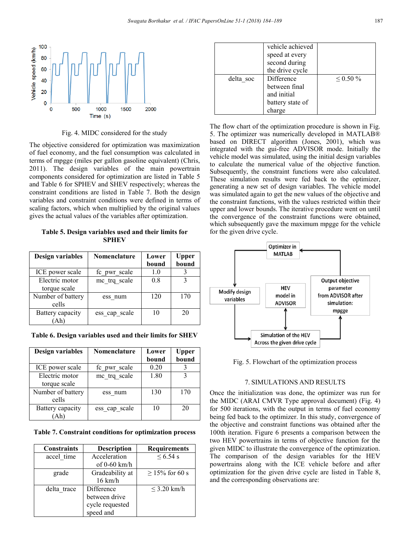

Fig. 4. MIDC considered for the study

The objective considered for optimization was maximization of fuel economy, and the fuel consumption was calculated in terms of mpgge (miles per gallon gasoline equivalent) (Chris, 2011). The design variables of the main powertrain components considered for optimization are listed in Table 5 and Table 6 for SPHEV and SHEV respectively; whereas the constraint conditions are listed in Table 7. Both the design variables and constraint conditions were defined in terms of scaling factors, which when multiplied by the original values gives the actual values of the variables after optimization.

**Table 5. Design variables used and their limits for SPHEV**

| <b>Design variables</b>        | Nomenclature  | Lower<br>bound | Upper<br>bound |
|--------------------------------|---------------|----------------|----------------|
| ICE power scale                | fc pwr scale  | 1.0            |                |
| Electric motor<br>torque scale | me trq scale  | 0.8            | 3              |
| Number of battery<br>cells     | ess num       | 120            | 170            |
| Battery capacity<br>'Ah)       | ess cap scale | 10             | 20             |

**Table 6. Design variables used and their limits for SHEV**

| Design variables               | Nomenclature  | Lower<br>bound | Upper<br>bound |
|--------------------------------|---------------|----------------|----------------|
| ICE power scale                | fc pwr scale  | 0.20           |                |
| Electric motor<br>torque scale | me trq scale  | 1.80           |                |
| Number of battery<br>cells     | ess num       | 130            | 170            |
| Battery capacity               | ess cap scale | 10             | 20             |

**Table 7. Constraint conditions for optimization process**

| <b>Constraints</b> | <b>Description</b> | <b>Requirements</b> |
|--------------------|--------------------|---------------------|
| accel time         | Acceleration       | $< 6.54$ s          |
|                    | of $0-60$ km/h     |                     |
| grade              | Gradeability at    | $\geq$ 15% for 60 s |
|                    | $16 \text{ km/h}$  |                     |
| delta trace        | Difference         | $\leq$ 3.20 km/h    |
|                    | between drive      |                     |
|                    | cycle requested    |                     |
|                    | speed and          |                     |

|           | vehicle achieved<br>speed at every<br>second during<br>the drive cycle   |                |
|-----------|--------------------------------------------------------------------------|----------------|
| delta soc | Difference<br>between final<br>and initial<br>battery state of<br>charge | $\leq 0.50 \%$ |

The flow chart of the optimization procedure is shown in Fig. 5. The optimizer was numerically developed in MATLAB® based on DIRECT algorithm (Jones, 2001), which was integrated with the gui-free ADVISOR mode. Initially the vehicle model was simulated, using the initial design variables to calculate the numerical value of the objective function. Subsequently, the constraint functions were also calculated. These simulation results were fed back to the optimizer, generating a new set of design variables. The vehicle model was simulated again to get the new values of the objective and the constraint functions, with the values restricted within their upper and lower bounds. The iterative procedure went on until the convergence of the constraint functions were obtained, which subsequently gave the maximum mpgge for the vehicle for the given drive cycle.



Fig. 5. Flowchart of the optimization process

### 7. SIMULATIONS AND RESULTS

Once the initialization was done, the optimizer was run for the MIDC (ARAI CMVR Type approval document) (Fig. 4) for 500 iterations, with the output in terms of fuel economy being fed back to the optimizer. In this study, convergence of the objective and constraint functions was obtained after the 100th iteration. Figure 6 presents a comparison between the two HEV powertrains in terms of objective function for the given MIDC to illustrate the convergence of the optimization. The comparison of the design variables for the HEV powertrains along with the ICE vehicle before and after optimization for the given drive cycle are listed in Table 8, and the corresponding observations are: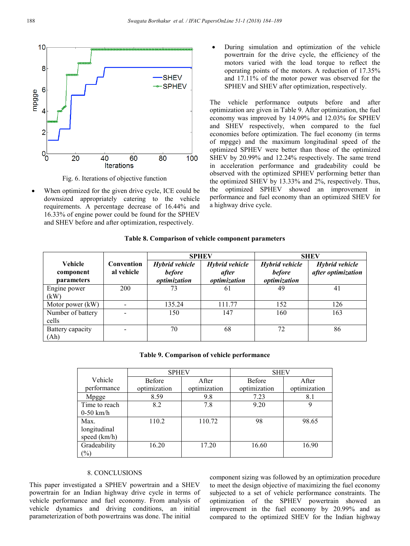

Fig. 6. Iterations of objective function

 When optimized for the given drive cycle, ICE could be downsized appropriately catering to the vehicle requirements. A percentage decrease of 16.44% and 16.33% of engine power could be found for the SPHEV and SHEV before and after optimization, respectively.

 During simulation and optimization of the vehicle powertrain for the drive cycle, the efficiency of the motors varied with the load torque to reflect the operating points of the motors. A reduction of 17.35% and 17.11% of the motor power was observed for the SPHEV and SHEV after optimization, respectively.

The vehicle performance outputs before and after optimization are given in Table 9. After optimization, the fuel economy was improved by 14.09% and 12.03% for SPHEV and SHEV respectively, when compared to the fuel economies before optimization. The fuel economy (in terms of mpgge) and the maximum longitudinal speed of the optimized SPHEV were better than those of the optimized SHEV by 20.99% and 12.24% respectively. The same trend in acceleration performance and gradeability could be observed with the optimized SPHEV performing better than the optimized SHEV by 13.33% and 2%, respectively. Thus, the optimized SPHEV showed an improvement in performance and fuel economy than an optimized SHEV for a highway drive cycle.

| Table 8. Comparison of vehicle component parameters |  |  |
|-----------------------------------------------------|--|--|
|                                                     |  |  |

|                                                  |                          | <b>SPHEV</b>                                    |                                         |                                                        | <b>SHEV</b>                          |
|--------------------------------------------------|--------------------------|-------------------------------------------------|-----------------------------------------|--------------------------------------------------------|--------------------------------------|
| <b>Vehicle</b><br>component<br><i>parameters</i> | Convention<br>al vehicle | Hybrid vehicle<br><b>before</b><br>optimization | Hybrid vehicle<br>after<br>optimization | <b>Hybrid vehicle</b><br><b>before</b><br>optimization | Hybrid vehicle<br>after optimization |
| Engine power<br>(kW)                             | 200                      | 73                                              | 61                                      | 49                                                     | 41                                   |
| Motor power (kW)                                 |                          | 135.24                                          | 111.77                                  | 152                                                    | 126                                  |
| Number of battery<br>cells                       |                          | 150                                             | 147                                     | 160                                                    | 163                                  |
| Battery capacity<br>(Ah)                         |                          | 70                                              | 68                                      | 72                                                     | 86                                   |

### **Table 9. Comparison of vehicle performance**

|               | <b>SPHEV</b>  |              | <b>SHEV</b>   |              |
|---------------|---------------|--------------|---------------|--------------|
| Vehicle       | <b>Before</b> | After        | <b>Before</b> | After        |
| performance   | optimization  | optimization | optimization  | optimization |
| Mpgge         | 8.59          | 9.8          | 7.23          | 8.1          |
| Time to reach | 8.2           | 7.8          | 9.20          | 9            |
| $0-50$ km/h   |               |              |               |              |
| Max.          | 110.2         | 110.72       | 98            | 98.65        |
| longitudinal  |               |              |               |              |
| speed (km/h)  |               |              |               |              |
| Gradeability  | 16.20         | 17.20        | 16.60         | 16.90        |
| $(\%)$        |               |              |               |              |

## 8. CONCLUSIONS

This paper investigated a SPHEV powertrain and a SHEV powertrain for an Indian highway drive cycle in terms of vehicle performance and fuel economy. From analysis of vehicle dynamics and driving conditions, an initial parameterization of both powertrains was done. The initial

component sizing was followed by an optimization procedure to meet the design objective of maximizing the fuel economy subjected to a set of vehicle performance constraints. The optimization of the SPHEV powertrain showed an improvement in the fuel economy by 20.99% and as compared to the optimized SHEV for the Indian highway